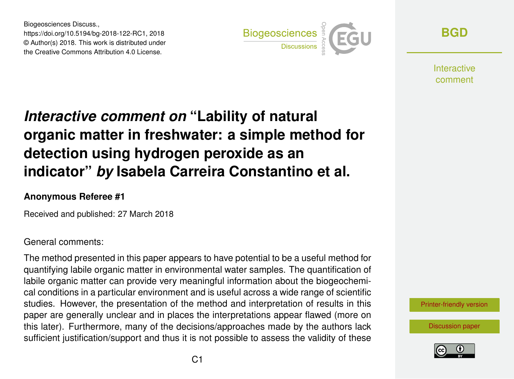Biogeosciences Discuss., https://doi.org/10.5194/bg-2018-122-RC1, 2018 © Author(s) 2018. This work is distributed under the Creative Commons Attribution 4.0 License.



**[BGD](https://www.biogeosciences-discuss.net/)**

**Interactive** comment

# *Interactive comment on* **"Lability of natural organic matter in freshwater: a simple method for detection using hydrogen peroxide as an indicator"** *by* **Isabela Carreira Constantino et al.**

#### **Anonymous Referee #1**

Received and published: 27 March 2018

#### General comments:

The method presented in this paper appears to have potential to be a useful method for quantifying labile organic matter in environmental water samples. The quantification of labile organic matter can provide very meaningful information about the biogeochemical conditions in a particular environment and is useful across a wide range of scientific studies. However, the presentation of the method and interpretation of results in this paper are generally unclear and in places the interpretations appear flawed (more on this later). Furthermore, many of the decisions/approaches made by the authors lack sufficient justification/support and thus it is not possible to assess the validity of these



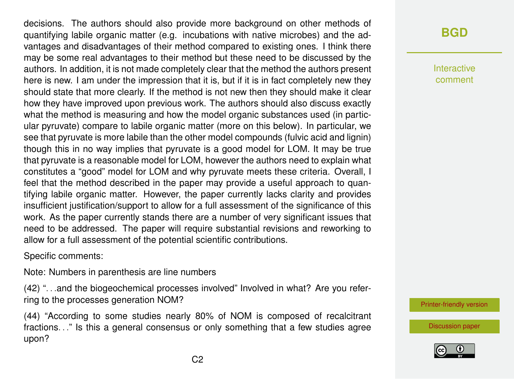decisions. The authors should also provide more background on other methods of quantifying labile organic matter (e.g. incubations with native microbes) and the advantages and disadvantages of their method compared to existing ones. I think there may be some real advantages to their method but these need to be discussed by the authors. In addition, it is not made completely clear that the method the authors present here is new. I am under the impression that it is, but if it is in fact completely new they should state that more clearly. If the method is not new then they should make it clear how they have improved upon previous work. The authors should also discuss exactly what the method is measuring and how the model organic substances used (in particular pyruvate) compare to labile organic matter (more on this below). In particular, we see that pyruvate is more labile than the other model compounds (fulvic acid and lignin) though this in no way implies that pyruvate is a good model for LOM. It may be true that pyruvate is a reasonable model for LOM, however the authors need to explain what constitutes a "good" model for LOM and why pyruvate meets these criteria. Overall, I feel that the method described in the paper may provide a useful approach to quantifying labile organic matter. However, the paper currently lacks clarity and provides insufficient justification/support to allow for a full assessment of the significance of this work. As the paper currently stands there are a number of very significant issues that need to be addressed. The paper will require substantial revisions and reworking to allow for a full assessment of the potential scientific contributions.

Specific comments:

Note: Numbers in parenthesis are line numbers

(42) ". . .and the biogeochemical processes involved" Involved in what? Are you referring to the processes generation NOM?

(44) "According to some studies nearly 80% of NOM is composed of recalcitrant fractions. . ." Is this a general consensus or only something that a few studies agree upon?

## **[BGD](https://www.biogeosciences-discuss.net/)**

Interactive comment

[Printer-friendly version](https://www.biogeosciences-discuss.net/bg-2018-122/bg-2018-122-RC1-print.pdf)

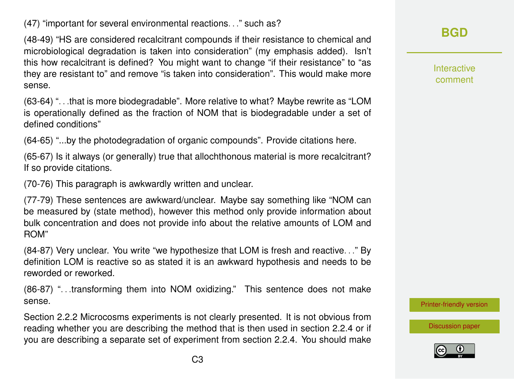(47) "important for several environmental reactions. . ." such as?

(48-49) "HS are considered recalcitrant compounds if their resistance to chemical and microbiological degradation is taken into consideration" (my emphasis added). Isn't this how recalcitrant is defined? You might want to change "if their resistance" to "as they are resistant to" and remove "is taken into consideration". This would make more sense.

(63-64) ". . .that is more biodegradable". More relative to what? Maybe rewrite as "LOM is operationally defined as the fraction of NOM that is biodegradable under a set of defined conditions"

(64-65) "...by the photodegradation of organic compounds". Provide citations here.

(65-67) Is it always (or generally) true that allochthonous material is more recalcitrant? If so provide citations.

(70-76) This paragraph is awkwardly written and unclear.

(77-79) These sentences are awkward/unclear. Maybe say something like "NOM can be measured by (state method), however this method only provide information about bulk concentration and does not provide info about the relative amounts of LOM and ROM"

(84-87) Very unclear. You write "we hypothesize that LOM is fresh and reactive. . ." By definition LOM is reactive so as stated it is an awkward hypothesis and needs to be reworded or reworked.

(86-87) ". . .transforming them into NOM oxidizing." This sentence does not make sense.

Section 2.2.2 Microcosms experiments is not clearly presented. It is not obvious from reading whether you are describing the method that is then used in section 2.2.4 or if you are describing a separate set of experiment from section 2.2.4. You should make Interactive comment

[Printer-friendly version](https://www.biogeosciences-discuss.net/bg-2018-122/bg-2018-122-RC1-print.pdf)

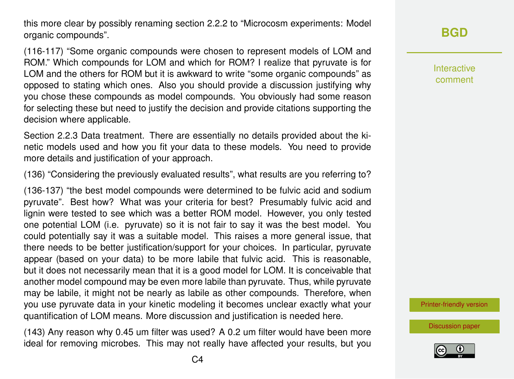this more clear by possibly renaming section 2.2.2 to "Microcosm experiments: Model organic compounds".

(116-117) "Some organic compounds were chosen to represent models of LOM and ROM." Which compounds for LOM and which for ROM? I realize that pyruvate is for LOM and the others for ROM but it is awkward to write "some organic compounds" as opposed to stating which ones. Also you should provide a discussion justifying why you chose these compounds as model compounds. You obviously had some reason for selecting these but need to justify the decision and provide citations supporting the decision where applicable.

Section 2.2.3 Data treatment. There are essentially no details provided about the kinetic models used and how you fit your data to these models. You need to provide more details and justification of your approach.

(136) "Considering the previously evaluated results", what results are you referring to?

(136-137) "the best model compounds were determined to be fulvic acid and sodium pyruvate". Best how? What was your criteria for best? Presumably fulvic acid and lignin were tested to see which was a better ROM model. However, you only tested one potential LOM (i.e. pyruvate) so it is not fair to say it was the best model. You could potentially say it was a suitable model. This raises a more general issue, that there needs to be better justification/support for your choices. In particular, pyruvate appear (based on your data) to be more labile that fulvic acid. This is reasonable, but it does not necessarily mean that it is a good model for LOM. It is conceivable that another model compound may be even more labile than pyruvate. Thus, while pyruvate may be labile, it might not be nearly as labile as other compounds. Therefore, when you use pyruvate data in your kinetic modeling it becomes unclear exactly what your quantification of LOM means. More discussion and justification is needed here.

(143) Any reason why 0.45 um filter was used? A 0.2 um filter would have been more ideal for removing microbes. This may not really have affected your results, but you **[BGD](https://www.biogeosciences-discuss.net/)**

Interactive comment

[Printer-friendly version](https://www.biogeosciences-discuss.net/bg-2018-122/bg-2018-122-RC1-print.pdf)

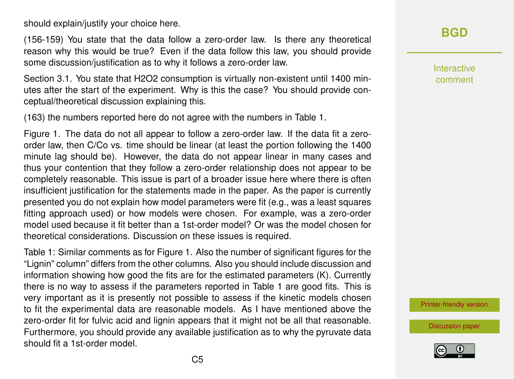should explain/justify your choice here.

(156-159) You state that the data follow a zero-order law. Is there any theoretical reason why this would be true? Even if the data follow this law, you should provide some discussion/justification as to why it follows a zero-order law.

Section 3.1. You state that H2O2 consumption is virtually non-existent until 1400 minutes after the start of the experiment. Why is this the case? You should provide conceptual/theoretical discussion explaining this.

(163) the numbers reported here do not agree with the numbers in Table 1.

Figure 1. The data do not all appear to follow a zero-order law. If the data fit a zeroorder law, then C/Co vs. time should be linear (at least the portion following the 1400 minute lag should be). However, the data do not appear linear in many cases and thus your contention that they follow a zero-order relationship does not appear to be completely reasonable. This issue is part of a broader issue here where there is often insufficient justification for the statements made in the paper. As the paper is currently presented you do not explain how model parameters were fit (e.g., was a least squares fitting approach used) or how models were chosen. For example, was a zero-order model used because it fit better than a 1st-order model? Or was the model chosen for theoretical considerations. Discussion on these issues is required.

Table 1: Similar comments as for Figure 1. Also the number of significant figures for the "Lignin" column" differs from the other columns. Also you should include discussion and information showing how good the fits are for the estimated parameters (K). Currently there is no way to assess if the parameters reported in Table 1 are good fits. This is very important as it is presently not possible to assess if the kinetic models chosen to fit the experimental data are reasonable models. As I have mentioned above the zero-order fit for fulvic acid and lignin appears that it might not be all that reasonable. Furthermore, you should provide any available justification as to why the pyruvate data should fit a 1st-order model.



Interactive comment

[Printer-friendly version](https://www.biogeosciences-discuss.net/bg-2018-122/bg-2018-122-RC1-print.pdf)

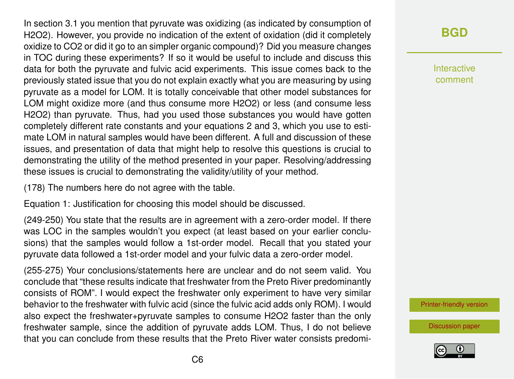In section 3.1 you mention that pyruvate was oxidizing (as indicated by consumption of H2O2). However, you provide no indication of the extent of oxidation (did it completely oxidize to CO2 or did it go to an simpler organic compound)? Did you measure changes in TOC during these experiments? If so it would be useful to include and discuss this data for both the pyruvate and fulvic acid experiments. This issue comes back to the previously stated issue that you do not explain exactly what you are measuring by using pyruvate as a model for LOM. It is totally conceivable that other model substances for LOM might oxidize more (and thus consume more H2O2) or less (and consume less H2O2) than pyruvate. Thus, had you used those substances you would have gotten completely different rate constants and your equations 2 and 3, which you use to estimate LOM in natural samples would have been different. A full and discussion of these issues, and presentation of data that might help to resolve this questions is crucial to demonstrating the utility of the method presented in your paper. Resolving/addressing these issues is crucial to demonstrating the validity/utility of your method.

(178) The numbers here do not agree with the table.

Equation 1: Justification for choosing this model should be discussed.

(249-250) You state that the results are in agreement with a zero-order model. If there was LOC in the samples wouldn't you expect (at least based on your earlier conclusions) that the samples would follow a 1st-order model. Recall that you stated your pyruvate data followed a 1st-order model and your fulvic data a zero-order model.

(255-275) Your conclusions/statements here are unclear and do not seem valid. You conclude that "these results indicate that freshwater from the Preto River predominantly consists of ROM". I would expect the freshwater only experiment to have very similar behavior to the freshwater with fulvic acid (since the fulvic acid adds only ROM). I would also expect the freshwater+pyruvate samples to consume H2O2 faster than the only freshwater sample, since the addition of pyruvate adds LOM. Thus, I do not believe that you can conclude from these results that the Preto River water consists predomi-

### **[BGD](https://www.biogeosciences-discuss.net/)**

Interactive comment

[Printer-friendly version](https://www.biogeosciences-discuss.net/bg-2018-122/bg-2018-122-RC1-print.pdf)